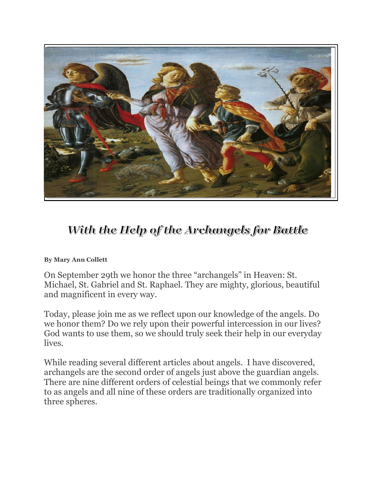

## With the Help of the Archangels for Battle

## **By Mary Ann Collett**

On September 29th we honor the three "archangels" in Heaven: St. Michael, St. Gabriel and St. Raphael. They are mighty, glorious, beautiful and magnificent in every way.

Today, please join me as we reflect upon our knowledge of the angels. Do we honor them? Do we rely upon their powerful intercession in our lives? God wants to use them, so we should truly seek their help in our everyday lives.

While reading several different articles about angels. I have discovered, archangels are the second order of angels just above the guardian angels. There are nine different orders of celestial beings that we commonly refer to as angels and all nine of these orders are traditionally organized into three spheres.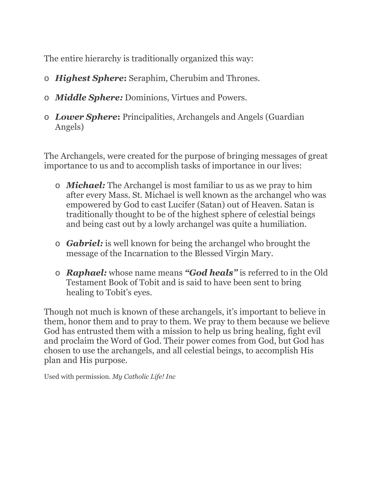The entire hierarchy is traditionally organized this way:

- o *Highest Sphere***:** Seraphim, Cherubim and Thrones.
- o *Middle Sphere:* Dominions, Virtues and Powers.
- o *Lower Sphere***:** Principalities, Archangels and Angels (Guardian Angels)

The Archangels, were created for the purpose of bringing messages of great importance to us and to accomplish tasks of importance in our lives:

- o *Michael:* The Archangel is most familiar to us as we pray to him after every Mass. St. Michael is well known as the archangel who was empowered by God to cast Lucifer (Satan) out of Heaven. Satan is traditionally thought to be of the highest sphere of celestial beings and being cast out by a lowly archangel was quite a humiliation.
- o *Gabriel:* is well known for being the archangel who brought the message of the Incarnation to the Blessed Virgin Mary.
- o *Raphael:* whose name means *"God heals"* is referred to in the Old Testament Book of Tobit and is said to have been sent to bring healing to Tobit's eyes.

Though not much is known of these archangels, it's important to believe in them, honor them and to pray to them. We pray to them because we believe God has entrusted them with a mission to help us bring healing, fight evil and proclaim the Word of God. Their power comes from God, but God has chosen to use the archangels, and all celestial beings, to accomplish His plan and His purpose.

Used with permission. *My Catholic Life! Inc*